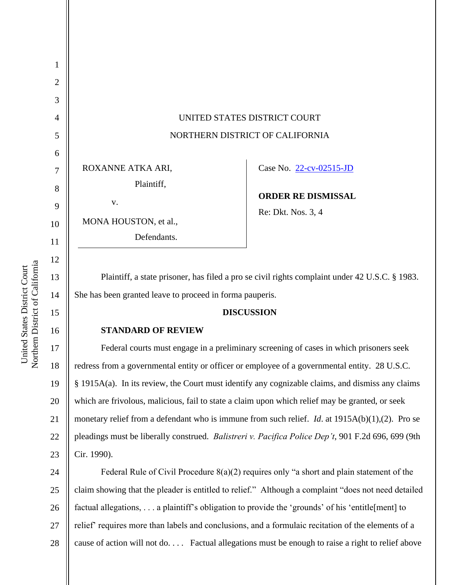| 1              |                                                                                                           |                           |
|----------------|-----------------------------------------------------------------------------------------------------------|---------------------------|
| $\overline{2}$ |                                                                                                           |                           |
| 3              |                                                                                                           |                           |
| 4              | UNITED STATES DISTRICT COURT                                                                              |                           |
| 5              | NORTHERN DISTRICT OF CALIFORNIA                                                                           |                           |
| 6              |                                                                                                           |                           |
| 7              | ROXANNE ATKA ARI,                                                                                         | Case No. 22-cv-02515-JD   |
| 8              | Plaintiff,                                                                                                |                           |
|                | V.                                                                                                        | <b>ORDER RE DISMISSAL</b> |
| 9              |                                                                                                           | Re: Dkt. Nos. 3, 4        |
| 10             | MONA HOUSTON, et al.,                                                                                     |                           |
| 11             | Defendants.                                                                                               |                           |
| 12             |                                                                                                           |                           |
| 13             | Plaintiff, a state prisoner, has filed a pro se civil rights complaint under 42 U.S.C. § 1983.            |                           |
| 14             | She has been granted leave to proceed in forma pauperis.                                                  |                           |
| 15             | <b>DISCUSSION</b>                                                                                         |                           |
| 16             | <b>STANDARD OF REVIEW</b>                                                                                 |                           |
| 17             | Federal courts must engage in a preliminary screening of cases in which prisoners seek                    |                           |
| 18             | redress from a governmental entity or officer or employee of a governmental entity. 28 U.S.C.             |                           |
| 19             | § 1915A(a). In its review, the Court must identify any cognizable claims, and dismiss any claims          |                           |
| 20             | which are frivolous, malicious, fail to state a claim upon which relief may be granted, or seek           |                           |
| 21             | monetary relief from a defendant who is immune from such relief. <i>Id.</i> at $1915A(b)(1),(2)$ . Pro se |                           |
| 22             | pleadings must be liberally construed. Balistreri v. Pacifica Police Dep't, 901 F.2d 696, 699 (9th        |                           |
| 23             | Cir. 1990).                                                                                               |                           |
| $\mathcal{L}$  | Eederal Rule of Civil Procedure $8(a)(2)$ requires only "a short and plain statement of the               |                           |

24 25 26 27 28 Federal Rule of Civil Procedure 8(a)(2) requires only "a short and plain statement of the claim showing that the pleader is entitled to relief." Although a complaint "does not need detailed factual allegations, . . . a plaintiff's obligation to provide the 'grounds' of his 'entitle[ment] to relief' requires more than labels and conclusions, and a formulaic recitation of the elements of a cause of action will not do. . . . Factual allegations must be enough to raise a right to relief above